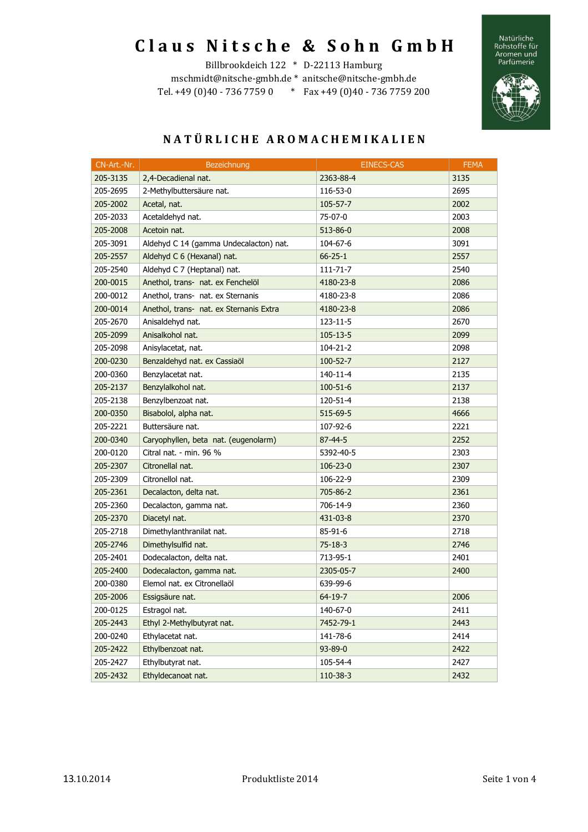# **C l a u s N i t s c h e & S o h n G m b H**

Natürliche<br>Rohstoffe für<br>Aromen und<br>Parfümerie



# Billbrookdeich 122 \* D-22113 Hamburg

mschmidt@nitsche-gmbh.de \* anitsche@nitsche-gmbh.de Tel. +49 (0)40 - 736 7759 0 \* Fax +49 (0)40 - 736 7759 200

| CN-Art.-Nr. | <b>Bezeichnung</b>                      | <b>EINECS-CAS</b> | <b>FEMA</b> |
|-------------|-----------------------------------------|-------------------|-------------|
| 205-3135    | 2,4-Decadienal nat.                     | 2363-88-4         | 3135        |
| 205-2695    | 2-Methylbuttersäure nat.                | 116-53-0          | 2695        |
| 205-2002    | Acetal, nat.                            | 105-57-7          | 2002        |
| 205-2033    | Acetaldehyd nat.                        | 75-07-0           | 2003        |
| 205-2008    | Acetoin nat.                            | 513-86-0          | 2008        |
| 205-3091    | Aldehyd C 14 (gamma Undecalacton) nat.  | 104-67-6          | 3091        |
| 205-2557    | Aldehyd C 6 (Hexanal) nat.              | $66 - 25 - 1$     | 2557        |
| 205-2540    | Aldehyd C 7 (Heptanal) nat.             | 111-71-7          | 2540        |
| 200-0015    | Anethol, trans- nat. ex Fenchelöl       | 4180-23-8         | 2086        |
| 200-0012    | Anethol, trans- nat. ex Sternanis       | 4180-23-8         | 2086        |
| 200-0014    | Anethol, trans- nat. ex Sternanis Extra | 4180-23-8         | 2086        |
| 205-2670    | Anisaldehyd nat.                        | 123-11-5          | 2670        |
| 205-2099    | Anisalkohol nat.                        | $105 - 13 - 5$    | 2099        |
| 205-2098    | Anisylacetat, nat.                      | 104-21-2          | 2098        |
| 200-0230    | Benzaldehyd nat. ex Cassiaöl            | $100 - 52 - 7$    | 2127        |
| 200-0360    | Benzylacetat nat.                       | 140-11-4          | 2135        |
| 205-2137    | Benzylalkohol nat.                      | $100 - 51 - 6$    | 2137        |
| 205-2138    | Benzylbenzoat nat.                      | 120-51-4          | 2138        |
| 200-0350    | Bisabolol, alpha nat.                   | 515-69-5          | 4666        |
| 205-2221    | Buttersäure nat.                        | 107-92-6          | 2221        |
| 200-0340    | Caryophyllen, beta nat. (eugenolarm)    | 87-44-5           | 2252        |
| 200-0120    | Citral nat. - min. 96 %                 | 5392-40-5         | 2303        |
| 205-2307    | Citronellal nat.                        | $106 - 23 - 0$    | 2307        |
| 205-2309    | Citronellol nat.                        | 106-22-9          | 2309        |
| 205-2361    | Decalacton, delta nat.                  | 705-86-2          | 2361        |
| 205-2360    | Decalacton, gamma nat.                  | 706-14-9          | 2360        |
| 205-2370    | Diacetyl nat.                           | 431-03-8          | 2370        |
| 205-2718    | Dimethylanthranilat nat.                | 85-91-6           | 2718        |
| 205-2746    | Dimethylsulfid nat.                     | $75 - 18 - 3$     | 2746        |
| 205-2401    | Dodecalacton, delta nat.                | 713-95-1          | 2401        |
| 205-2400    | Dodecalacton, gamma nat.                | 2305-05-7         | 2400        |
| 200-0380    | Elemol nat. ex Citronellaöl             | 639-99-6          |             |
| 205-2006    | Essigsäure nat.                         | 64-19-7           | 2006        |
| 200-0125    | Estragol nat.                           | 140-67-0          | 2411        |
| 205-2443    | Ethyl 2-Methylbutyrat nat.              | 7452-79-1         | 2443        |
| 200-0240    | Ethylacetat nat.                        | 141-78-6          | 2414        |
| 205-2422    | Ethylbenzoat nat.                       | 93-89-0           | 2422        |
| 205-2427    | Ethylbutyrat nat.                       | 105-54-4          | 2427        |
| 205-2432    | Ethyldecanoat nat.                      | 110-38-3          | 2432        |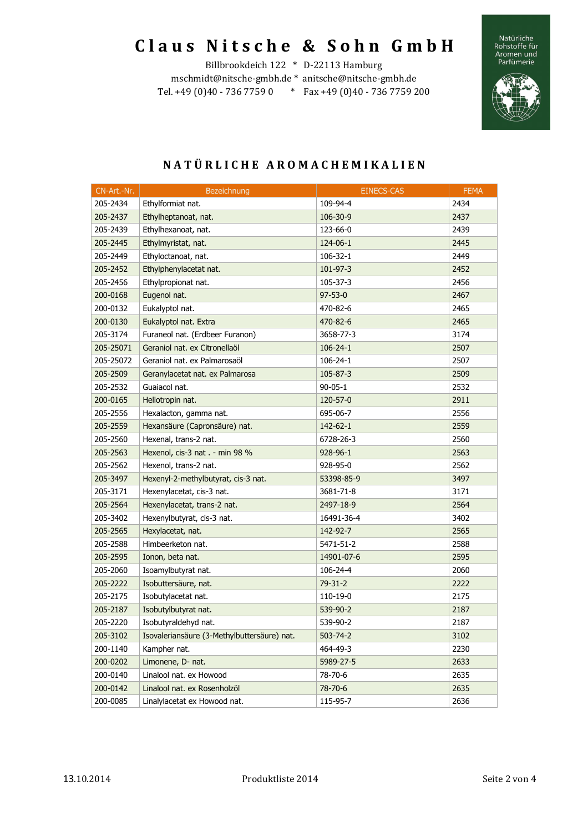## **C l a u s N i t s c h e & S o h n G m b H**  Billbrookdeich 122 \* D-22113 Hamburg

mschmidt@nitsche-gmbh.de \* anitsche@nitsche-gmbh.de Tel. +49 (0)40 - 736 7759 0 \* Fax +49 (0)40 - 736 7759 200 Natürliche<br>Rohstoffe für<br>Aromen und<br>Parfümerie



| CN-Art.-Nr. | Bezeichnung                                 | <b>EINECS-CAS</b> | <b>FEMA</b> |
|-------------|---------------------------------------------|-------------------|-------------|
| 205-2434    | Ethylformiat nat.                           | 109-94-4          | 2434        |
| 205-2437    | Ethylheptanoat, nat.                        | 106-30-9          | 2437        |
| 205-2439    | Ethylhexanoat, nat.                         | 123-66-0          | 2439        |
| 205-2445    | Ethylmyristat, nat.                         | 124-06-1          | 2445        |
| 205-2449    | Ethyloctanoat, nat.                         | 106-32-1          | 2449        |
| 205-2452    | Ethylphenylacetat nat.                      | 101-97-3          | 2452        |
| 205-2456    | Ethylpropionat nat.                         | 105-37-3          | 2456        |
| 200-0168    | Eugenol nat.                                | $97 - 53 - 0$     | 2467        |
| 200-0132    | Eukalyptol nat.                             | 470-82-6          | 2465        |
| 200-0130    | Eukalyptol nat. Extra                       | 470-82-6          | 2465        |
| 205-3174    | Furaneol nat. (Erdbeer Furanon)             | 3658-77-3         | 3174        |
| 205-25071   | Geraniol nat. ex Citronellaöl               | $106 - 24 - 1$    | 2507        |
| 205-25072   | Geraniol nat. ex Palmarosaöl                | $106 - 24 - 1$    | 2507        |
| 205-2509    | Geranylacetat nat. ex Palmarosa             | 105-87-3          | 2509        |
| 205-2532    | Guaiacol nat.                               | $90 - 05 - 1$     | 2532        |
| 200-0165    | Heliotropin nat.                            | 120-57-0          | 2911        |
| 205-2556    | Hexalacton, gamma nat.                      | 695-06-7          | 2556        |
| 205-2559    | Hexansäure (Capronsäure) nat.               | 142-62-1          | 2559        |
| 205-2560    | Hexenal, trans-2 nat.                       | 6728-26-3         | 2560        |
| 205-2563    | Hexenol, cis-3 nat . - min 98 %             | 928-96-1          | 2563        |
| 205-2562    | Hexenol, trans-2 nat.                       | 928-95-0          | 2562        |
| 205-3497    | Hexenyl-2-methylbutyrat, cis-3 nat.         | 53398-85-9        | 3497        |
| 205-3171    | Hexenylacetat, cis-3 nat.                   | 3681-71-8         | 3171        |
| 205-2564    | Hexenylacetat, trans-2 nat.                 | 2497-18-9         | 2564        |
| 205-3402    | Hexenylbutyrat, cis-3 nat.                  | 16491-36-4        | 3402        |
| 205-2565    | Hexylacetat, nat.                           | 142-92-7          | 2565        |
| 205-2588    | Himbeerketon nat.                           | 5471-51-2         | 2588        |
| 205-2595    | Ionon, beta nat.                            | 14901-07-6        | 2595        |
| 205-2060    | Isoamylbutyrat nat.                         | 106-24-4          | 2060        |
| 205-2222    | Isobuttersäure, nat.                        | $79-31-2$         | 2222        |
| 205-2175    | Isobutylacetat nat.                         | 110-19-0          | 2175        |
| 205-2187    | Isobutylbutyrat nat.                        | 539-90-2          | 2187        |
| 205-2220    | Isobutyraldehyd nat.                        | 539-90-2          | 2187        |
| 205-3102    | Isovaleriansäure (3-Methylbuttersäure) nat. | $503 - 74 - 2$    | 3102        |
| 200-1140    | Kampher nat.                                | 464-49-3          | 2230        |
| 200-0202    | Limonene, D- nat.                           | 5989-27-5         | 2633        |
| 200-0140    | Linalool nat. ex Howood                     | 78-70-6           | 2635        |
| 200-0142    | Linalool nat. ex Rosenholzöl                | 78-70-6           | 2635        |
| 200-0085    | Linalylacetat ex Howood nat.                | 115-95-7          | 2636        |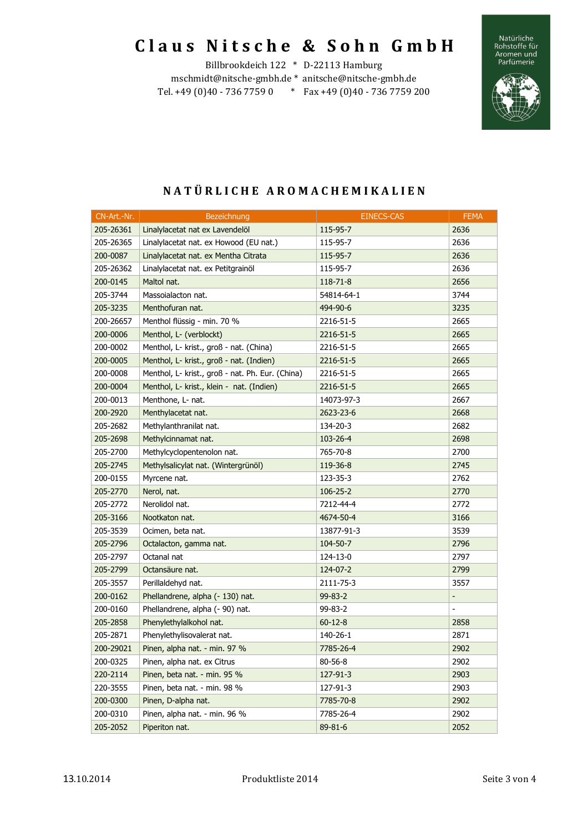## **C l a u s N i t s c h e & S o h n G m b H**

Billbrookdeich 122 \* D-22113 Hamburg mschmidt@nitsche-gmbh.de \* anitsche@nitsche-gmbh.de Tel. +49 (0)40 - 736 7759 0 \* Fax +49 (0)40 - 736 7759 200





| CN-Art.-Nr. | Bezeichnung                                      | <b>EINECS-CAS</b> | <b>FEMA</b>              |
|-------------|--------------------------------------------------|-------------------|--------------------------|
| 205-26361   | Linalylacetat nat ex Lavendelöl                  | 115-95-7          | 2636                     |
| 205-26365   | Linalylacetat nat. ex Howood (EU nat.)           | 115-95-7          | 2636                     |
| 200-0087    | Linalylacetat nat. ex Mentha Citrata             | 115-95-7          | 2636                     |
| 205-26362   | Linalylacetat nat. ex Petitgrainöl               | 115-95-7          | 2636                     |
| 200-0145    | Maltol nat.                                      | 118-71-8          | 2656                     |
| 205-3744    | Massoialacton nat.                               | 54814-64-1        | 3744                     |
| 205-3235    | Menthofuran nat.                                 | 494-90-6          | 3235                     |
| 200-26657   | Menthol flüssig - min. 70 %                      | 2216-51-5         | 2665                     |
| 200-0006    | Menthol, L- (verblockt)                          | 2216-51-5         | 2665                     |
| 200-0002    | Menthol, L- krist., groß - nat. (China)          | 2216-51-5         | 2665                     |
| 200-0005    | Menthol, L- krist., groß - nat. (Indien)         | 2216-51-5         | 2665                     |
| 200-0008    | Menthol, L- krist., groß - nat. Ph. Eur. (China) | 2216-51-5         | 2665                     |
| 200-0004    | Menthol, L- krist., klein - nat. (Indien)        | 2216-51-5         | 2665                     |
| 200-0013    | Menthone, L- nat.                                | 14073-97-3        | 2667                     |
| 200-2920    | Menthylacetat nat.                               | 2623-23-6         | 2668                     |
| 205-2682    | Methylanthranilat nat.                           | 134-20-3          | 2682                     |
| 205-2698    | Methylcinnamat nat.                              | 103-26-4          | 2698                     |
| 205-2700    | Methylcyclopentenolon nat.                       | 765-70-8          | 2700                     |
| 205-2745    | Methylsalicylat nat. (Wintergrünöl)              | 119-36-8          | 2745                     |
| 200-0155    | Myrcene nat.                                     | 123-35-3          | 2762                     |
| 205-2770    | Nerol, nat.                                      | $106 - 25 - 2$    | 2770                     |
| 205-2772    | Nerolidol nat.                                   | 7212-44-4         | 2772                     |
| 205-3166    | Nootkaton nat.                                   | 4674-50-4         | 3166                     |
| 205-3539    | Ocimen, beta nat.                                | 13877-91-3        | 3539                     |
| 205-2796    | Octalacton, gamma nat.                           | 104-50-7          | 2796                     |
| 205-2797    | Octanal nat                                      | 124-13-0          | 2797                     |
| 205-2799    | Octansäure nat.                                  | 124-07-2          | 2799                     |
| 205-3557    | Perillaldehyd nat.                               | 2111-75-3         | 3557                     |
| 200-0162    | Phellandrene, alpha (- 130) nat.                 | 99-83-2           | $\overline{\phantom{a}}$ |
| 200-0160    | Phellandrene, alpha (- 90) nat.                  | 99-83-2           | $\overline{a}$           |
| 205-2858    | Phenylethylalkohol nat.                          | $60 - 12 - 8$     | 2858                     |
| 205-2871    | Phenylethylisovalerat nat.                       | 140-26-1          | 2871                     |
| 200-29021   | Pinen, alpha nat. - min. 97 %                    | 7785-26-4         | 2902                     |
| 200-0325    | Pinen, alpha nat. ex Citrus                      | 80-56-8           | 2902                     |
| 220-2114    | Pinen, beta nat. - min. 95 %                     | 127-91-3          | 2903                     |
| 220-3555    | Pinen, beta nat. - min. 98 %                     | 127-91-3          | 2903                     |
| 200-0300    | Pinen, D-alpha nat.                              | 7785-70-8         | 2902                     |
| 200-0310    | Pinen, alpha nat. - min. 96 %                    | 7785-26-4         | 2902                     |
| 205-2052    | Piperiton nat.                                   | 89-81-6           | 2052                     |